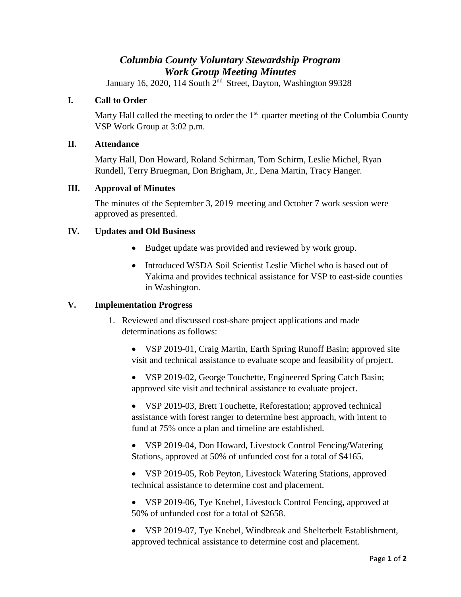# *Columbia County Voluntary Stewardship Program Work Group Meeting Minutes*

January 16, 2020, 114 South  $2^{nd}$  Street, Dayton, Washington 99328

# **I. Call to Order**

Marty Hall called the meeting to order the  $1<sup>st</sup>$  quarter meeting of the Columbia County VSP Work Group at 3:02 p.m.

# **II. Attendance**

Marty Hall, Don Howard, Roland Schirman, Tom Schirm, Leslie Michel, Ryan Rundell, Terry Bruegman, Don Brigham, Jr., Dena Martin, Tracy Hanger.

# **III. Approval of Minutes**

The minutes of the September 3, 2019 meeting and October 7 work session were approved as presented.

# **IV. Updates and Old Business**

- Budget update was provided and reviewed by work group.
- Introduced WSDA Soil Scientist Leslie Michel who is based out of Yakima and provides technical assistance for VSP to east-side counties in Washington.

# **V. Implementation Progress**

- 1. Reviewed and discussed cost-share project applications and made determinations as follows:
	- VSP 2019-01, Craig Martin, Earth Spring Runoff Basin; approved site visit and technical assistance to evaluate scope and feasibility of project.
	- VSP 2019-02, George Touchette, Engineered Spring Catch Basin; approved site visit and technical assistance to evaluate project.

• VSP 2019-03, Brett Touchette, Reforestation; approved technical assistance with forest ranger to determine best approach, with intent to fund at 75% once a plan and timeline are established.

• VSP 2019-04, Don Howard, Livestock Control Fencing/Watering Stations, approved at 50% of unfunded cost for a total of \$4165.

• VSP 2019-05, Rob Peyton, Livestock Watering Stations, approved technical assistance to determine cost and placement.

• VSP 2019-06, Tye Knebel, Livestock Control Fencing, approved at 50% of unfunded cost for a total of \$2658.

• VSP 2019-07, Tye Knebel, Windbreak and Shelterbelt Establishment, approved technical assistance to determine cost and placement.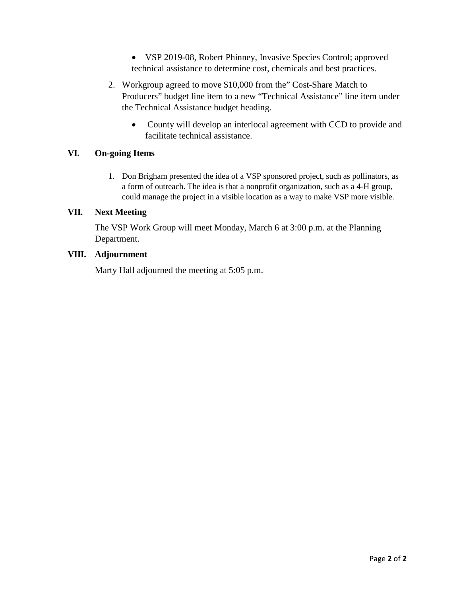• VSP 2019-08, Robert Phinney, Invasive Species Control; approved technical assistance to determine cost, chemicals and best practices.

- 2. Workgroup agreed to move \$10,000 from the" Cost-Share Match to Producers" budget line item to a new "Technical Assistance" line item under the Technical Assistance budget heading.
	- County will develop an interlocal agreement with CCD to provide and facilitate technical assistance.

# **VI. On-going Items**

1. Don Brigham presented the idea of a VSP sponsored project, such as pollinators, as a form of outreach. The idea is that a nonprofit organization, such as a 4-H group, could manage the project in a visible location as a way to make VSP more visible.

#### **VII. Next Meeting**

The VSP Work Group will meet Monday, March 6 at 3:00 p.m. at the Planning Department.

#### **VIII. Adjournment**

Marty Hall adjourned the meeting at 5:05 p.m.